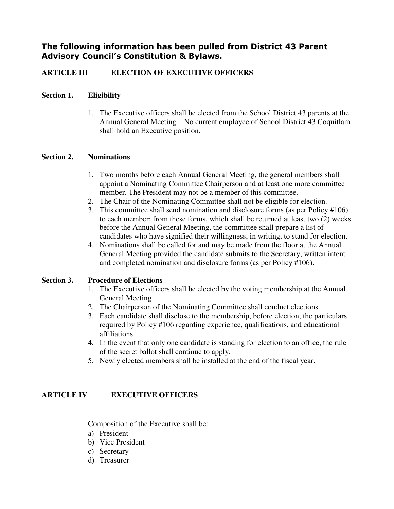# The following information has been pulled from District 43 Parent Advisory Council's Constitution & Bylaws.

# **ARTICLE III ELECTION OF EXECUTIVE OFFICERS**

### **Section 1. Eligibility**

1. The Executive officers shall be elected from the School District 43 parents at the Annual General Meeting. No current employee of School District 43 Coquitlam shall hold an Executive position.

#### **Section 2. Nominations**

- 1. Two months before each Annual General Meeting, the general members shall appoint a Nominating Committee Chairperson and at least one more committee member. The President may not be a member of this committee.
- 2. The Chair of the Nominating Committee shall not be eligible for election.
- 3. This committee shall send nomination and disclosure forms (as per Policy #106) to each member; from these forms, which shall be returned at least two (2) weeks before the Annual General Meeting, the committee shall prepare a list of candidates who have signified their willingness, in writing, to stand for election.
- 4. Nominations shall be called for and may be made from the floor at the Annual General Meeting provided the candidate submits to the Secretary, written intent and completed nomination and disclosure forms (as per Policy #106).

#### **Section 3. Procedure of Elections**

- 1. The Executive officers shall be elected by the voting membership at the Annual General Meeting
- 2. The Chairperson of the Nominating Committee shall conduct elections.
- 3. Each candidate shall disclose to the membership, before election, the particulars required by Policy #106 regarding experience, qualifications, and educational affiliations.
- 4. In the event that only one candidate is standing for election to an office, the rule of the secret ballot shall continue to apply.
- 5. Newly elected members shall be installed at the end of the fiscal year.

# **ARTICLE IV EXECUTIVE OFFICERS**

Composition of the Executive shall be:

- a) President
- b) Vice President
- c) Secretary
- d) Treasurer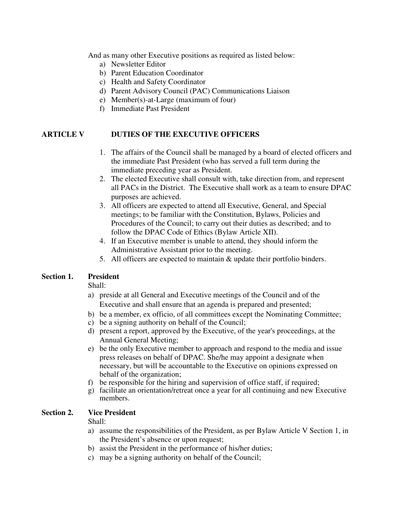And as many other Executive positions as required as listed below:

- a) Newsletter Editor
- b) Parent Education Coordinator
- c) Health and Safety Coordinator
- d) Parent Advisory Council (PAC) Communications Liaison
- e) Member(s)-at-Large (maximum of four)
- f) Immediate Past President

#### **ARTICLE V DUTIES OF THE EXECUTIVE OFFICERS**

- 1. The affairs of the Council shall be managed by a board of elected officers and the immediate Past President (who has served a full term during the immediate preceding year as President.
- 2. The elected Executive shall consult with, take direction from, and represent all PACs in the District. The Executive shall work as a team to ensure DPAC purposes are achieved.
- 3. All officers are expected to attend all Executive, General, and Special meetings; to be familiar with the Constitution, Bylaws, Policies and Procedures of the Council; to carry out their duties as described; and to follow the DPAC Code of Ethics (Bylaw Article XII).
- 4. If an Executive member is unable to attend, they should inform the Administrative Assistant prior to the meeting.
- 5. All officers are expected to maintain & update their portfolio binders.

### **Section 1. President**

Shall:

- a) preside at all General and Executive meetings of the Council and of the Executive and shall ensure that an agenda is prepared and presented;
- b) be a member, ex officio, of all committees except the Nominating Committee;
- c) be a signing authority on behalf of the Council;
- d) present a report, approved by the Executive, of the year's proceedings, at the Annual General Meeting;
- e) be the only Executive member to approach and respond to the media and issue press releases on behalf of DPAC. She/he may appoint a designate when necessary, but will be accountable to the Executive on opinions expressed on behalf of the organization;
- f) be responsible for the hiring and supervision of office staff, if required;
- g) facilitate an orientation/retreat once a year for all continuing and new Executive members.

#### **Section 2. Vice President**

Shall:

- a) assume the responsibilities of the President, as per Bylaw Article V Section 1, in the President's absence or upon request;
- b) assist the President in the performance of his/her duties;
- c) may be a signing authority on behalf of the Council;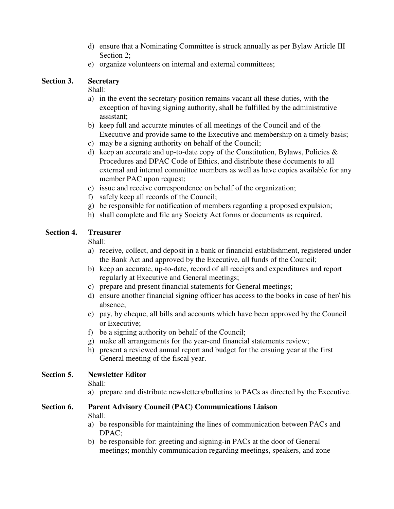- d) ensure that a Nominating Committee is struck annually as per Bylaw Article III Section 2;
- e) organize volunteers on internal and external committees;

# **Section 3. Secretary**

### Shall:

- a) in the event the secretary position remains vacant all these duties, with the exception of having signing authority, shall be fulfilled by the administrative assistant;
- b) keep full and accurate minutes of all meetings of the Council and of the Executive and provide same to the Executive and membership on a timely basis;
- c) may be a signing authority on behalf of the Council;
- d) keep an accurate and up-to-date copy of the Constitution, Bylaws, Policies  $\&$ Procedures and DPAC Code of Ethics, and distribute these documents to all external and internal committee members as well as have copies available for any member PAC upon request;
- e) issue and receive correspondence on behalf of the organization;
- f) safely keep all records of the Council;
- g) be responsible for notification of members regarding a proposed expulsion;
- h) shall complete and file any Society Act forms or documents as required.

# **Section 4. Treasurer**

# Shall:

- a) receive, collect, and deposit in a bank or financial establishment, registered under the Bank Act and approved by the Executive, all funds of the Council;
- b) keep an accurate, up-to-date, record of all receipts and expenditures and report regularly at Executive and General meetings;
- c) prepare and present financial statements for General meetings;
- d) ensure another financial signing officer has access to the books in case of her/ his absence;
- e) pay, by cheque, all bills and accounts which have been approved by the Council or Executive;
- f) be a signing authority on behalf of the Council;
- g) make all arrangements for the year-end financial statements review;
- h) present a reviewed annual report and budget for the ensuing year at the first General meeting of the fiscal year.

# **Section 5. Newsletter Editor**

Shall:

a) prepare and distribute newsletters/bulletins to PACs as directed by the Executive.

#### **Section 6. Parent Advisory Council (PAC) Communications Liaison**  Shall:

- a) be responsible for maintaining the lines of communication between PACs and DPAC;
- b) be responsible for: greeting and signing-in PACs at the door of General meetings; monthly communication regarding meetings, speakers, and zone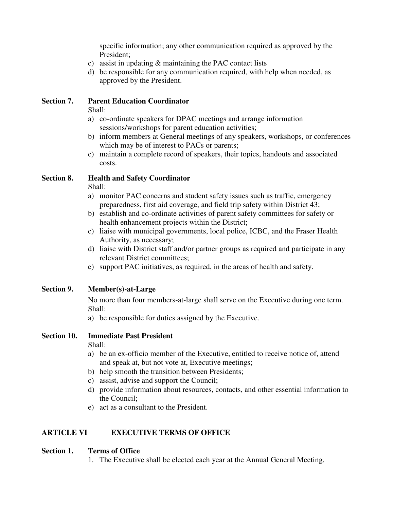specific information; any other communication required as approved by the President;

- c) assist in updating & maintaining the PAC contact lists
- d) be responsible for any communication required, with help when needed, as approved by the President.

### **Section 7. Parent Education Coordinator**

Shall:

- a) co-ordinate speakers for DPAC meetings and arrange information sessions/workshops for parent education activities;
- b) inform members at General meetings of any speakers, workshops, or conferences which may be of interest to PACs or parents;
- c) maintain a complete record of speakers, their topics, handouts and associated costs.

### **Section 8. Health and Safety Coordinator**

Shall:

- a) monitor PAC concerns and student safety issues such as traffic, emergency preparedness, first aid coverage, and field trip safety within District 43;
- b) establish and co-ordinate activities of parent safety committees for safety or health enhancement projects within the District;
- c) liaise with municipal governments, local police, ICBC, and the Fraser Health Authority, as necessary;
- d) liaise with District staff and/or partner groups as required and participate in any relevant District committees;
- e) support PAC initiatives, as required, in the areas of health and safety.

# **Section 9. Member(s)-at-Large**

No more than four members-at-large shall serve on the Executive during one term. Shall:

a) be responsible for duties assigned by the Executive.

# **Section 10. Immediate Past President**

Shall:

- a) be an ex-officio member of the Executive, entitled to receive notice of, attend and speak at, but not vote at, Executive meetings;
- b) help smooth the transition between Presidents;
- c) assist, advise and support the Council;
- d) provide information about resources, contacts, and other essential information to the Council;
- e) act as a consultant to the President.

# **ARTICLE VI EXECUTIVE TERMS OF OFFICE**

#### **Section 1. Terms of Office**

1. The Executive shall be elected each year at the Annual General Meeting.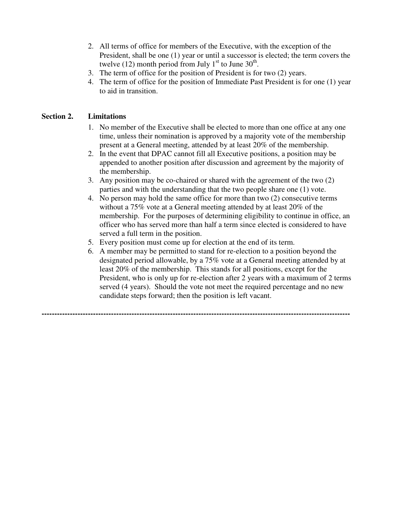- 2. All terms of office for members of the Executive, with the exception of the President, shall be one (1) year or until a successor is elected; the term covers the twelve (12) month period from July  $1<sup>st</sup>$  to June  $30<sup>th</sup>$ .
- 3. The term of office for the position of President is for two (2) years.
- 4. The term of office for the position of Immediate Past President is for one (1) year to aid in transition.

### **Section 2. Limitations**

- 1. No member of the Executive shall be elected to more than one office at any one time, unless their nomination is approved by a majority vote of the membership present at a General meeting, attended by at least 20% of the membership.
- 2. In the event that DPAC cannot fill all Executive positions, a position may be appended to another position after discussion and agreement by the majority of the membership.
- 3. Any position may be co-chaired or shared with the agreement of the two (2) parties and with the understanding that the two people share one (1) vote.
- 4. No person may hold the same office for more than two (2) consecutive terms without a 75% vote at a General meeting attended by at least 20% of the membership. For the purposes of determining eligibility to continue in office, an officer who has served more than half a term since elected is considered to have served a full term in the position.
- 5. Every position must come up for election at the end of its term.

**------------------------------------------------------------------------------------------------------------------------** 

6. A member may be permitted to stand for re-election to a position beyond the designated period allowable, by a 75% vote at a General meeting attended by at least 20% of the membership. This stands for all positions, except for the President, who is only up for re-election after 2 years with a maximum of 2 terms served (4 years). Should the vote not meet the required percentage and no new candidate steps forward; then the position is left vacant.